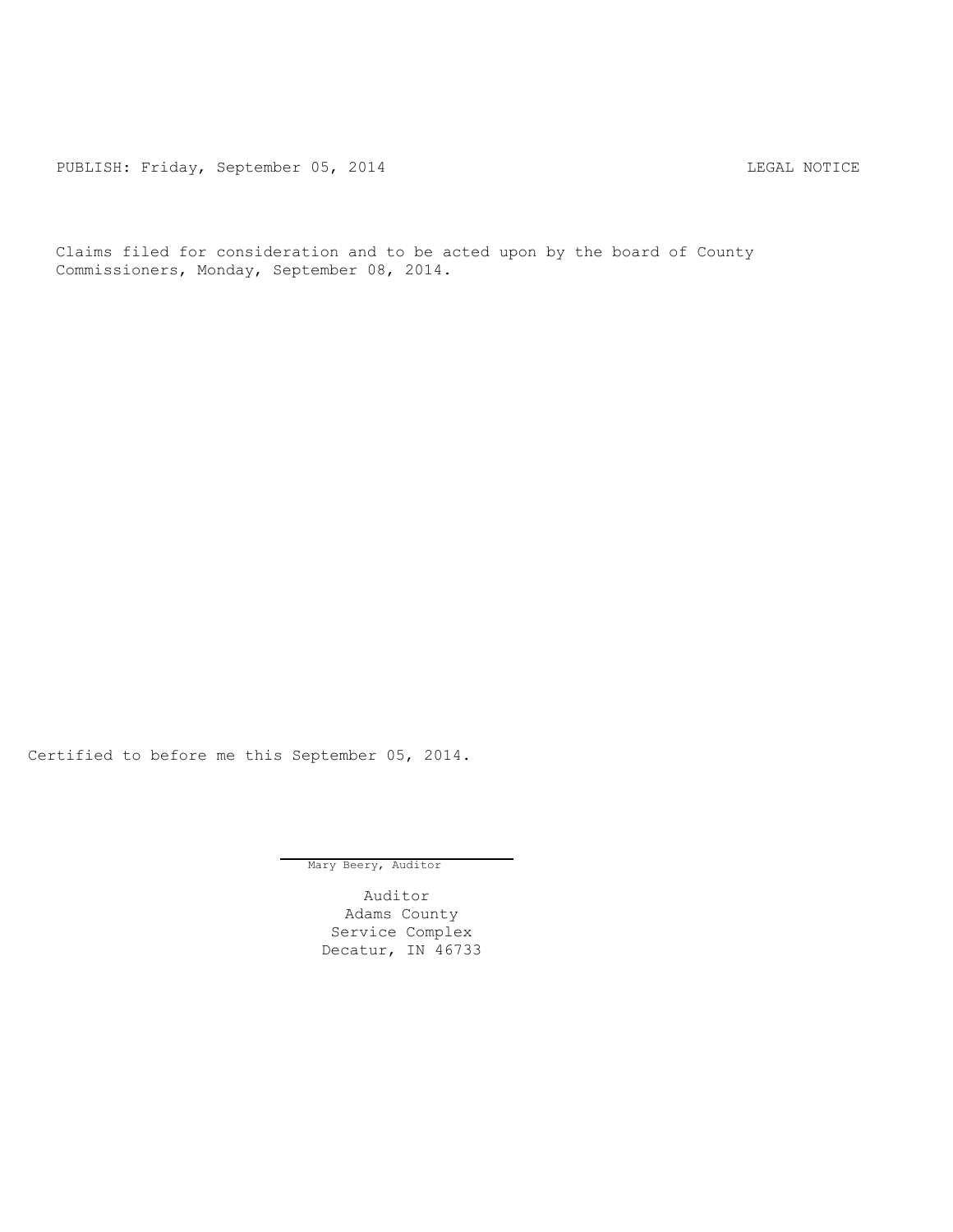PUBLISH: Friday, September 05, 2014 CHECH CHECAL NOTICE

Claims filed for consideration and to be acted upon by the board of County Commissioners, Monday, September 08, 2014.

Certified to before me this September 05, 2014.

Mary Beery, Auditor

Auditor Adams County Service Complex Decatur, IN 46733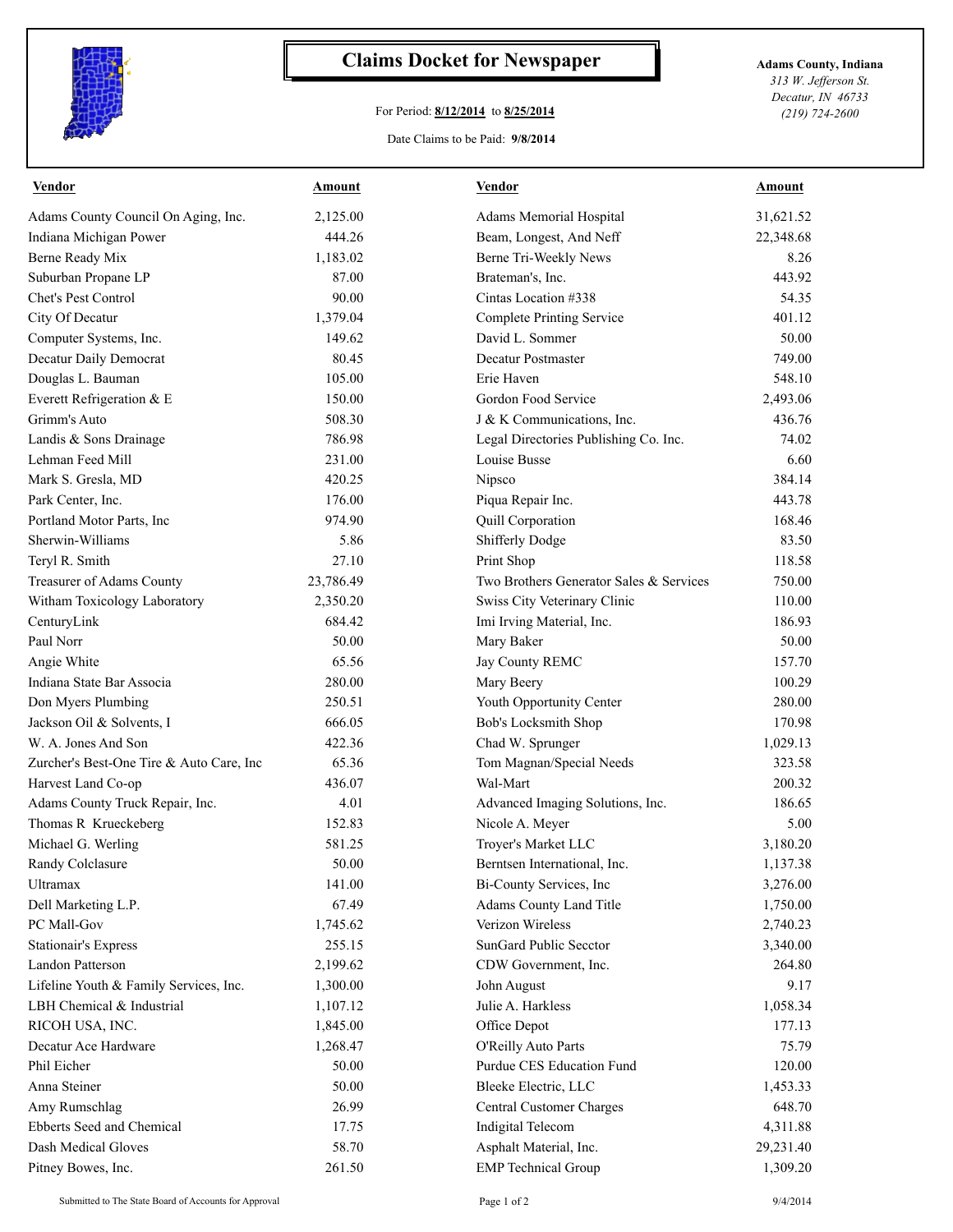

## **Claims Docket for Newspaper Adams County, Indiana**

## For Period: **8/12/2014** to **8/25/2014**

*313 W. Jefferson St. Decatur, IN 46733 (219) 724-2600*

## Date Claims to be Paid: **9/8/2014**

| <b>Vendor</b>                            | Amount    | <b>Vendor</b>                           | Amount    |
|------------------------------------------|-----------|-----------------------------------------|-----------|
| Adams County Council On Aging, Inc.      | 2,125.00  | Adams Memorial Hospital                 | 31,621.52 |
| Indiana Michigan Power                   | 444.26    | Beam, Longest, And Neff                 | 22,348.68 |
| Berne Ready Mix                          | 1,183.02  | Berne Tri-Weekly News                   | 8.26      |
| Suburban Propane LP                      | 87.00     | Brateman's, Inc.                        | 443.92    |
| Chet's Pest Control                      | 90.00     | Cintas Location #338                    | 54.35     |
| City Of Decatur                          | 1,379.04  | Complete Printing Service               | 401.12    |
| Computer Systems, Inc.                   | 149.62    | David L. Sommer                         | 50.00     |
| Decatur Daily Democrat                   | 80.45     | <b>Decatur Postmaster</b>               | 749.00    |
| Douglas L. Bauman                        | 105.00    | Erie Haven                              | 548.10    |
| Everett Refrigeration & E                | 150.00    | Gordon Food Service                     | 2,493.06  |
| Grimm's Auto                             | 508.30    | J & K Communications, Inc.              | 436.76    |
| Landis & Sons Drainage                   | 786.98    | Legal Directories Publishing Co. Inc.   | 74.02     |
| Lehman Feed Mill                         | 231.00    | Louise Busse                            | 6.60      |
| Mark S. Gresla, MD                       | 420.25    | Nipsco                                  | 384.14    |
| Park Center, Inc.                        | 176.00    | Piqua Repair Inc.                       | 443.78    |
| Portland Motor Parts, Inc.               | 974.90    | Quill Corporation                       | 168.46    |
| Sherwin-Williams                         | 5.86      | <b>Shifferly Dodge</b>                  | 83.50     |
| Teryl R. Smith                           | 27.10     | Print Shop                              | 118.58    |
| Treasurer of Adams County                | 23,786.49 | Two Brothers Generator Sales & Services | 750.00    |
| Witham Toxicology Laboratory             | 2,350.20  | Swiss City Veterinary Clinic            | 110.00    |
| CenturyLink                              | 684.42    | Imi Irving Material, Inc.               | 186.93    |
| Paul Norr                                | 50.00     | Mary Baker                              | 50.00     |
| Angie White                              | 65.56     | Jay County REMC                         | 157.70    |
| Indiana State Bar Associa                | 280.00    | Mary Beery                              | 100.29    |
| Don Myers Plumbing                       | 250.51    | Youth Opportunity Center                | 280.00    |
| Jackson Oil & Solvents, I                | 666.05    | Bob's Locksmith Shop                    | 170.98    |
| W. A. Jones And Son                      | 422.36    | Chad W. Sprunger                        | 1,029.13  |
| Zurcher's Best-One Tire & Auto Care, Inc | 65.36     | Tom Magnan/Special Needs                | 323.58    |
| Harvest Land Co-op                       | 436.07    | Wal-Mart                                | 200.32    |
| Adams County Truck Repair, Inc.          | 4.01      | Advanced Imaging Solutions, Inc.        | 186.65    |
| Thomas R Krueckeberg                     | 152.83    | Nicole A. Meyer                         | 5.00      |
| Michael G. Werling                       | 581.25    | Troyer's Market LLC                     | 3,180.20  |
| Randy Colclasure                         | 50.00     | Berntsen International, Inc.            | 1,137.38  |
| Ultramax                                 | 141.00    | Bi-County Services, Inc                 | 3,276.00  |
| Dell Marketing L.P.                      | 67.49     | Adams County Land Title                 | 1,750.00  |
| PC Mall-Gov                              | 1,745.62  | Verizon Wireless                        | 2,740.23  |
| <b>Stationair's Express</b>              | 255.15    | SunGard Public Secctor                  | 3,340.00  |
| Landon Patterson                         | 2,199.62  | CDW Government, Inc.                    | 264.80    |
| Lifeline Youth & Family Services, Inc.   | 1,300.00  | John August                             | 9.17      |
| LBH Chemical & Industrial                | 1,107.12  | Julie A. Harkless                       | 1,058.34  |
| RICOH USA, INC.                          | 1,845.00  | Office Depot                            | 177.13    |
| Decatur Ace Hardware                     | 1,268.47  | O'Reilly Auto Parts                     | 75.79     |
| Phil Eicher                              | 50.00     | Purdue CES Education Fund               | 120.00    |
| Anna Steiner                             | 50.00     | Bleeke Electric, LLC                    | 1,453.33  |
| Amy Rumschlag                            | 26.99     | Central Customer Charges                | 648.70    |
| Ebberts Seed and Chemical                | 17.75     | Indigital Telecom                       | 4,311.88  |
| Dash Medical Gloves                      | 58.70     | Asphalt Material, Inc.                  | 29,231.40 |
| Pitney Bowes, Inc.                       | 261.50    | <b>EMP</b> Technical Group              | 1,309.20  |
|                                          |           |                                         |           |